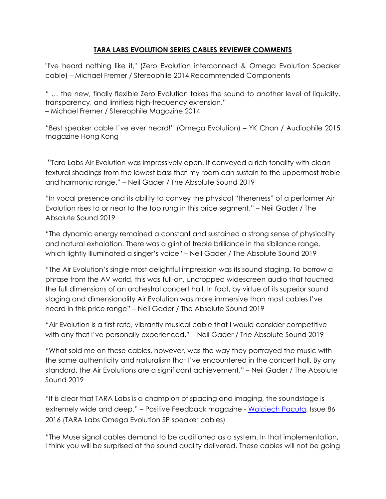## **TARA LABS EVOLUTION SERIES CABLES REVIEWER COMMENTS**

"I've heard nothing like it," (Zero Evolution interconnect & Omega Evolution Speaker cable) – Michael Fremer / Stereophile 2014 Recommended Components

" … the new, finally flexible Zero Evolution takes the sound to another level of liquidity, transparency, and limitless high-frequency extension." – Michael Fremer / Stereophile Magazine 2014

"Best speaker cable I've ever heard!" (Omega Evolution) – YK Chan / Audiophile 2015 magazine Hong Kong

"Tara Labs Air Evolution was impressively open. It conveyed a rich tonality with clean textural shadings from the lowest bass that my room can sustain to the uppermost treble and harmonic range." – Neil Gader / The Absolute Sound 2019

"In vocal presence and its ability to convey the physical "thereness" of a performer Air Evolution rises to or near to the top rung in this price segment." – Neil Gader / The Absolute Sound 2019

"The dynamic energy remained a constant and sustained a strong sense of physicality and natural exhalation. There was a glint of treble brilliance in the sibilance range, which lightly illuminated a singer's voice" – Neil Gader / The Absolute Sound 2019

"The Air Evolution's single most delightful impression was its sound staging. To borrow a phrase from the AV world, this was full-on, uncropped widescreen audio that touched the full dimensions of an orchestral concert hall. In fact, by virtue of its superior sound staging and dimensionality Air Evolution was more immersive than most cables I've heard in this price range" – Neil Gader / The Absolute Sound 2019

"Air Evolution is a first-rate, vibrantly musical cable that I would consider competitive with any that I've personally experienced." – Neil Gader / The Absolute Sound 2019

"What sold me on these cables, however, was the way they portrayed the music with the same authenticity and naturalism that I've encountered in the concert hall. By any standard, the Air Evolutions are a significant achievement." – Neil Gader / The Absolute Sound 2019

"It is clear that TARA Labs is a champion of spacing and imaging, the soundstage is extremely wide and deep." – Positive Feedback magazine - [Wojciech Pacuła](http://positive-feedback.com/high-fidelity/tara-labs-evolution-cables/), Issue 86 2016 (TARA Labs Omega Evolution SP speaker cables)

"The Muse signal cables demand to be auditioned as a system. In that implementation, I think you will be surprised at the sound quality delivered. These cables will not be going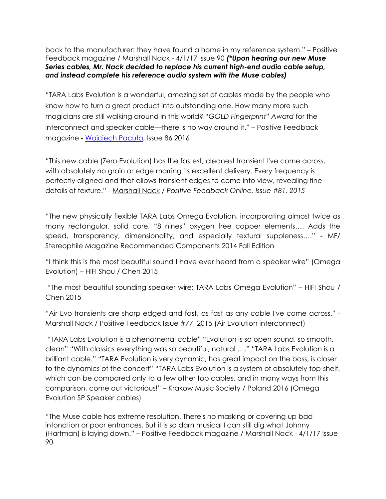back to the manufacturer: they have found a home in my reference system." – Positive Feedback magazine / Marshall Nack - 4/1/17 Issue 90 *(\*Upon hearing our new Muse Series cables, Mr. Nack decided to replace his current high-end audio cable setup, and instead complete his reference audio system with the Muse cables)*

"TARA Labs Evolution is a wonderful, amazing set of cables made by the people who know how to turn a great product into outstanding one. How many more such magicians are still walking around in this world? "*GOLD Fingerprint" Award* for the interconnect and speaker cable—there is no way around it." – Positive Feedback magazine - [Wojciech Pacuła](http://positive-feedback.com/high-fidelity/tara-labs-evolution-cables/), Issue 86 2016

"This new cable (Zero Evolution) has the fastest, cleanest transient I've come across, with absolutely no grain or edge marring its excellent delivery. Every frequency is perfectly aligned and that allows transient edges to come into view, revealing fine details of texture." - [Marshall Nack](http://positive-feedback.com/reviews/hardware-reviews/tara-labs-the-zero-evolution-interconnect-with-hfx/) */ Positive Feedback Online, Issue #81, 2015*

"The new physically flexible TARA Labs Omega Evolution, incorporating almost twice as many rectangular, solid core, "8 nines" oxygen free copper elements…. Adds the speed, transparency, dimensionality, and especially textural suppleness…." - MF/ Stereophile Magazine Recommended Components 2014 Fall Edition

"I think this is the most beautiful sound I have ever heard from a speaker wire" (Omega Evolution) – HIFI Shou / Chen 2015

"The most beautiful sounding speaker wire; TARA Labs Omega Evolution" – HIFI Shou / Chen 2015

"Air Evo transients are sharp edged and fast, as fast as any cable I've come across." - Marshall Nack / Positive Feedback Issue #77, 2015 (Air Evolution interconnect)

"TARA Labs Evolution is a phenomenal cable" "Evolution is so open sound, so smooth, clean" "With classics everything was so beautiful, natural …." "TARA Labs Evolution is a brilliant cable." "TARA Evolution is very dynamic, has great impact on the bass, is closer to the dynamics of the concert" "TARA Labs Evolution is a system of absolutely top-shelf, which can be compared only to a few other top cables, and in many ways from this comparison, come out victorious!" – Krakow Music Society / Poland 2016 (Omega Evolution SP Speaker cables)

"The Muse cable has extreme resolution. There's no masking or covering up bad intonation or poor entrances. But it is so darn musical I can still dig what Johnny (Hartman) is laying down." – Positive Feedback magazine / Marshall Nack - 4/1/17 Issue 90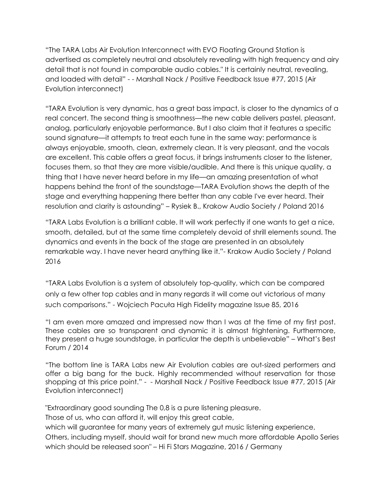"The TARA Labs Air Evolution Interconnect with EVO Floating Ground Station is advertised as completely neutral and absolutely revealing with high frequency and airy detail that is not found in comparable audio cables." It is certainly neutral, revealing, and loaded with detail" - - Marshall Nack / Positive Feedback Issue #77, 2015 (Air Evolution interconnect)

"TARA Evolution is very dynamic, has a great bass impact, is closer to the dynamics of a real concert. The second thing is smoothness—the new cable delivers pastel, pleasant, analog, particularly enjoyable performance. But I also claim that it features a specific sound signature—it attempts to treat each tune in the same way: performance is always enjoyable, smooth, clean, extremely clean. It is very pleasant, and the vocals are excellent. This cable offers a great focus, it brings instruments closer to the listener, focuses them, so that they are more visible/audible. And there is this unique quality, a thing that I have never heard before in my life—an amazing presentation of what happens behind the front of the soundstage—TARA Evolution shows the depth of the stage and everything happening there better than any cable I've ever heard. Their resolution and clarity is astounding" – Rysiek B., Krakow Audio Society / Poland 2016

"TARA Labs Evolution is a brilliant cable. It will work perfectly if one wants to get a nice, smooth, detailed, but at the same time completely devoid of shrill elements sound. The dynamics and events in the back of the stage are presented in an absolutely remarkable way. I have never heard anything like it."- Krakow Audio Society / Poland 2016

"TARA Labs Evolution is a system of absolutely top-quality, which can be compared only a few other top cables and in many regards it will come out victorious of many such comparisons." - [Wojciech Pacuła](http://positive-feedback.com/high-fidelity/krakow-sonic-society-meeting-103-tara-labs-evolution-series/) High Fidelity magazine Issue 85, 2016

"I am even more amazed and impressed now than I was at the time of my first post. These cables are so transparent and dynamic it is almost frightening. Furthermore, they present a huge soundstage, in particular the depth is unbelievable" – What's Best Forum / 2014

"The bottom line is TARA Labs new Air Evolution cables are out-sized performers and offer a big bang for the buck. Highly recommended without reservation for those shopping at this price point." - - Marshall Nack / Positive Feedback Issue #77, 2015 (Air Evolution interconnect)

"Extraordinary good sounding The 0,8 is a pure listening pleasure.

Those of us, who can afford it, will enjoy this great cable,

which will guarantee for many years of extremely gut music listening experience, Others, including myself, should wait for brand new much more affordable Apollo Series which should be released soon" – Hi Fi Stars Magazine, 2016 / Germany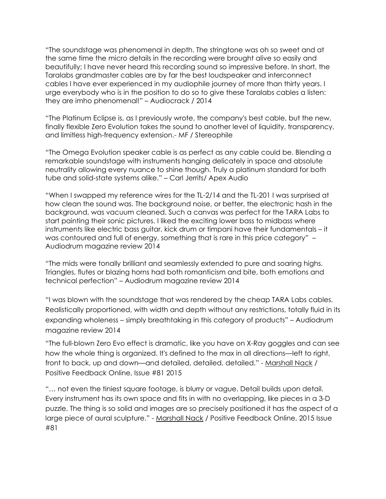"The soundstage was phenomenal in depth. The stringtone was oh so sweet and at the same time the micro details in the recording were brought alive so easily and beautifully; I have never heard this recording sound so impressive before. In short, the Taralabs grandmaster cables are by far the best loudspeaker and interconnect cables I have ever experienced in my audiophile journey of more than thirty years. I urge everybody who is in the position to do so to give these Taralabs cables a listen: they are imho phenomenal!" – Audiocrack / 2014

"The Platinum Eclipse is, as I previously wrote, the company's best cable, but the new, finally flexible Zero Evolution takes the sound to another level of liquidity, transparency, and limitless high-frequency extension.- MF / Stereophile

"The Omega Evolution speaker cable is as perfect as any cable could be. Blending a remarkable soundstage with instruments hanging delicately in space and absolute neutrality allowing every nuance to shine though. Truly a platinum standard for both tube and solid-state systems alike." – Carl Jerrits/ Apex Audio

"When I swapped my reference wires for the TL-2/14 and the TL-201 I was surprised at how clean the sound was. The background noise, or better, the electronic hash in the background, was vacuum cleaned. Such a canvas was perfect for the TARA Labs to start painting their sonic pictures. I liked the exciting lower bass to midbass where instruments like electric bass guitar, kick drum or timpani have their fundamentals – it was contoured and full of energy, something that is rare in this price category" – Audiodrum magazine review 2014

"The mids were tonally brilliant and seamlessly extended to pure and soaring highs. Triangles, flutes or blazing horns had both romanticism and bite, both emotions and technical perfection" – Audiodrum magazine review 2014

"I was blown with the soundstage that was rendered by the cheap TARA Labs cables. Realistically proportioned, with width and depth without any restrictions, totally fluid in its expanding wholeness – simply breathtaking in this category of products" – Audiodrum magazine review 2014

"The full-blown Zero Evo effect is dramatic, like you have on X-Ray goggles and can see how the whole thing is organized. It's defined to the max in all directions—left to right, front to back, up and down—and detailed, detailed, detailed." - [Marshall Nack](http://positive-feedback.com/reviews/hardware-reviews/tara-labs-the-zero-evolution-interconnect-with-hfx/) / Positive Feedback Online, Issue #81 2015

"… not even the tiniest square footage, is blurry or vague. Detail builds upon detail. Every instrument has its own space and fits in with no overlapping, like pieces in a 3-D puzzle. The thing is so solid and images are so precisely positioned it has the aspect of a large piece of aural sculpture." - [Marshall Nack](http://positive-feedback.com/reviews/hardware-reviews/tara-labs-the-zero-evolution-interconnect-with-hfx/) / Positive Feedback Online, 2015 Issue #81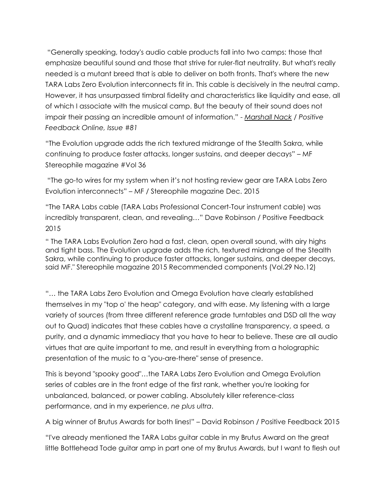"Generally speaking, today's audio cable products fall into two camps: those that emphasize beautiful sound and those that strive for ruler-flat neutrality. But what's really needed is a mutant breed that is able to deliver on both fronts. That's where the new TARA Labs Zero Evolution interconnects fit in. This cable is decisively in the neutral camp. However, it has unsurpassed timbral fidelity and characteristics like liquidity and ease, all of which I associate with the musical camp. But the beauty of their sound does not impair their passing an incredible amount of information." - *[Marshall Nack](http://positive-feedback.com/reviews/hardware-reviews/tara-labs-the-zero-evolution-interconnect-with-hfx/) / Positive Feedback Online, Issue #81*

"The Evolution upgrade adds the rich textured midrange of the Stealth Sakra, while continuing to produce faster attacks, longer sustains, and deeper decays" – MF Stereophile magazine #Vol 36

"The go-to wires for my system when it's not hosting review gear are TARA Labs Zero Evolution interconnects" – MF / Stereophile magazine Dec. 2015

"The TARA Labs cable (TARA Labs Professional Concert-Tour instrument cable) was incredibly transparent, clean, and revealing…" Dave Robinson / Positive Feedback 2015

" The TARA Labs Evolution Zero had a fast, clean, open overall sound, with airy highs and tight bass. The Evolution upgrade adds the rich, textured midrange of the Stealth Sakra, while continuing to produce faster attacks, longer sustains, and deeper decays, said MF." Stereophile magazine 2015 Recommended components (Vol.29 No.12)

"… the TARA Labs Zero Evolution and Omega Evolution have clearly established themselves in my "top o' the heap" category, and with ease. My listening with a large variety of sources (from three different reference grade turntables and DSD all the way out to Quad) indicates that these cables have a crystalline transparency, a speed, a purity, and a dynamic immediacy that you have to hear to believe. These are all audio virtues that are quite important to me, and result in everything from a holographic presentation of the music to a "you-are-there" sense of presence.

This is beyond "spooky good"…the TARA Labs Zero Evolution and Omega Evolution series of cables are in the front edge of the first rank, whether you're looking for unbalanced, balanced, or power cabling. Absolutely killer reference-class performance, and in my experience, *ne plus ultra*.

A big winner of Brutus Awards for both lines!" – David Robinson / Positive Feedback 2015

"I've already mentioned the TARA Labs guitar cable in my Brutus Award on the great little Bottlehead Tode guitar amp in part one of my Brutus Awards, but I want to flesh out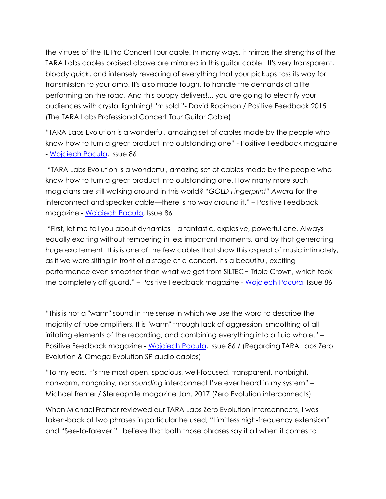the virtues of the TL Pro Concert Tour cable. In many ways, it mirrors the strengths of the TARA Labs cables praised above are mirrored in this guitar cable: It's very transparent, bloody *quick*, and intensely revealing of everything that your pickups toss its way for transmission to your amp. It's also made tough, to handle the demands of a life performing on the road. And this puppy delivers!... you are going to electrify your audiences with crystal lightning! I'm sold!"- David Robinson / Positive Feedback 2015 (The TARA Labs Professional Concert Tour Guitar Cable)

"TARA Labs Evolution is a wonderful, amazing set of cables made by the people who know how to turn a great product into outstanding one" - Positive Feedback magazine - [Wojciech Pacuła](http://positive-feedback.com/high-fidelity/tara-labs-evolution-cables/), Issue 86

"TARA Labs Evolution is a wonderful, amazing set of cables made by the people who know how to turn a great product into outstanding one. How many more such magicians are still walking around in this world? "*GOLD Fingerprint" Award* for the interconnect and speaker cable—there is no way around it." – Positive Feedback magazine - [Wojciech Pacuła](http://positive-feedback.com/high-fidelity/tara-labs-evolution-cables/), Issue 86

"First, let me tell you about dynamics—a fantastic, explosive, powerful one. Always equally exciting without tempering in less important moments, and by that generating huge excitement. This is one of the few cables that show this aspect of music intimately, as if we were sitting in front of a stage at a concert. It's a beautiful, exciting performance even smoother than what we get from SILTECH Triple Crown, which took me completely off guard." – Positive Feedback magazine - [Wojciech Pacuła](http://positive-feedback.com/high-fidelity/tara-labs-evolution-cables/), Issue 86

"This is not a "warm" sound in the sense in which we use the word to describe the majority of tube amplifiers. It is "warm" through lack of aggression, smoothing of all irritating elements of the recording, and combining everything into a fluid whole." – Positive Feedback magazine - [Wojciech Pacuła](http://positive-feedback.com/high-fidelity/tara-labs-evolution-cables/), Issue 86 / (Regarding TARA Labs Zero Evolution & Omega Evolution SP audio cables)

"To my ears, it's the most open, spacious, well-focused, transparent, nonbright, nonwarm, nongrainy, non*sounding* interconnect I've ever heard in my system" – Michael fremer / Stereophile magazine Jan. 2017 (Zero Evolution interconnects)

When Michael Fremer reviewed our TARA Labs Zero Evolution interconnects, I was taken-back at two phrases in particular he used; "Limitless high-frequency extension" and "See-to-forever." I believe that both those phrases say it all when it comes to